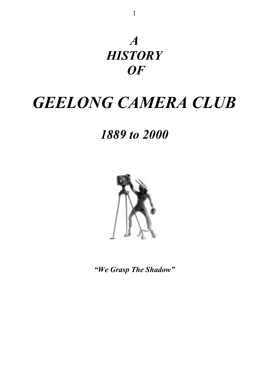

# *GEELONG CAMERA CLUB*

*1889 to 2000*



*"We Grasp The Shadow"*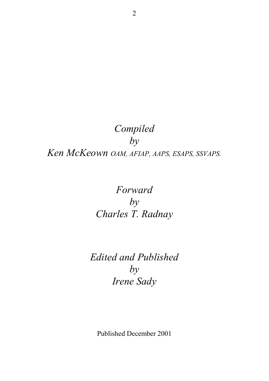# *Compiled by Ken McKeown OAM, AFIAP, AAPS, ESAPS, SSVAPS.*

# *Forward by Charles T. Radnay*

# *Edited and Published by Irene Sady*

Published December 2001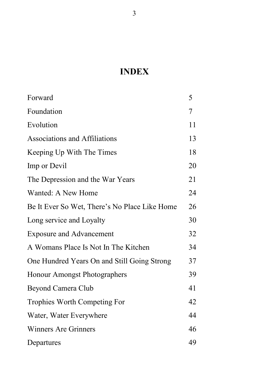# **INDEX**

| Forward                                       | 5  |
|-----------------------------------------------|----|
| Foundation                                    | 7  |
| Evolution                                     | 11 |
| <b>Associations and Affiliations</b>          | 13 |
| Keeping Up With The Times                     | 18 |
| Imp or Devil                                  | 20 |
| The Depression and the War Years              | 21 |
| Wanted: A New Home                            | 24 |
| Be It Ever So Wet, There's No Place Like Home | 26 |
| Long service and Loyalty                      | 30 |
| <b>Exposure and Advancement</b>               | 32 |
| A Womans Place Is Not In The Kitchen          | 34 |
| One Hundred Years On and Still Going Strong   | 37 |
| Honour Amongst Photographers                  | 39 |
| Beyond Camera Club                            | 41 |
| <b>Trophies Worth Competing For</b>           | 42 |
| Water, Water Everywhere                       | 44 |
| <b>Winners Are Grinners</b>                   | 46 |
| Departures                                    | 49 |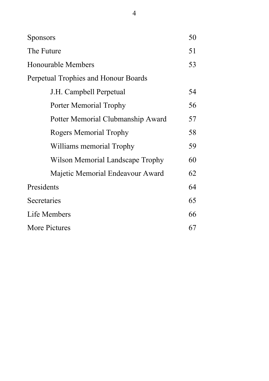| <b>Sponsors</b>                      | 50 |
|--------------------------------------|----|
| The Future                           | 51 |
| Honourable Members                   | 53 |
| Perpetual Trophies and Honour Boards |    |
| J.H. Campbell Perpetual              | 54 |
| Porter Memorial Trophy               | 56 |
| Potter Memorial Clubmanship Award    | 57 |
| <b>Rogers Memorial Trophy</b>        | 58 |
| Williams memorial Trophy             | 59 |
| Wilson Memorial Landscape Trophy     | 60 |
| Majetic Memorial Endeavour Award     | 62 |
| Presidents                           | 64 |
| Secretaries                          | 65 |
| Life Members                         | 66 |
| More Pictures                        | 67 |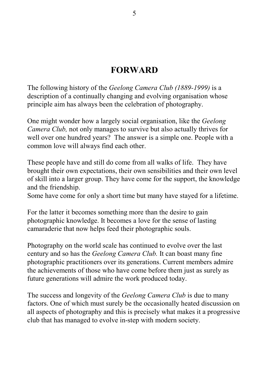## **FORWARD**

The following history of the *Geelong Camera Club (1889-1999)* is a description of a continually changing and evolving organisation whose principle aim has always been the celebration of photography.

One might wonder how a largely social organisation, like the *Geelong Camera Club,* not only manages to survive but also actually thrives for well over one hundred years? The answer is a simple one. People with a common love will always find each other.

These people have and still do come from all walks of life. They have brought their own expectations, their own sensibilities and their own level of skill into a larger group. They have come for the support, the knowledge and the friendship.

Some have come for only a short time but many have stayed for a lifetime.

For the latter it becomes something more than the desire to gain photographic knowledge. It becomes a love for the sense of lasting camaraderie that now helps feed their photographic souls.

Photography on the world scale has continued to evolve over the last century and so has the *Geelong Camera Club.* It can boast many fine photographic practitioners over its generations. Current members admire the achievements of those who have come before them just as surely as future generations will admire the work produced today.

The success and longevity of the *Geelong Camera Club* is due to many factors. One of which must surely be the occasionally heated discussion on all aspects of photography and this is precisely what makes it a progressive club that has managed to evolve in-step with modern society.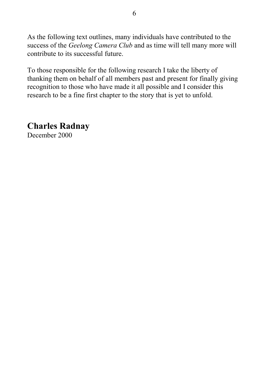As the following text outlines, many individuals have contributed to the success of the *Geelong Camera Club* and as time will tell many more will contribute to its successful future.

To those responsible for the following research I take the liberty of thanking them on behalf of all members past and present for finally giving recognition to those who have made it all possible and I consider this research to be a fine first chapter to the story that is yet to unfold.

**Charles Radnay** December 2000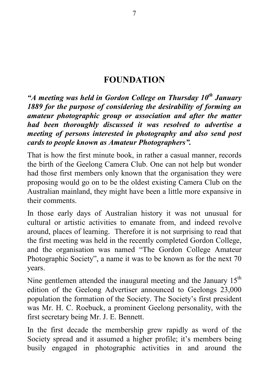## **FOUNDATION**

*"A meeting was held in Gordon College on Thursdav 10<sup>th</sup> Januarv 1889 for the purpose of considering the desirability of forming an amateur photographic group or association and after the matter had been thoroughly discussed it was resolved to advertise a meeting of persons interested in photography and also send post cards to people known as Amateur Photographers".*

That is how the first minute book, in rather a casual manner, records the birth of the Geelong Camera Club. One can not help but wonder had those first members only known that the organisation they were proposing would go on to be the oldest existing Camera Club on the Australian mainland, they might have been a little more expansive in their comments.

In those early days of Australian history it was not unusual for cultural or artistic activities to emanate from, and indeed revolve around, places of learning. Therefore it is not surprising to read that the first meeting was held in the recently completed Gordon College, and the organisation was named "The Gordon College Amateur Photographic Society", a name it was to be known as for the next 70 years.

Nine gentlemen attended the inaugural meeting and the January  $15<sup>th</sup>$ edition of the Geelong Advertiser announced to Geelongs 23,000 population the formation of the Society. The Society's first president was Mr. H. C. Roebuck, a prominent Geelong personality, with the first secretary being Mr. J. E. Bennett.

In the first decade the membership grew rapidly as word of the Society spread and it assumed a higher profile; it's members being busily engaged in photographic activities in and around the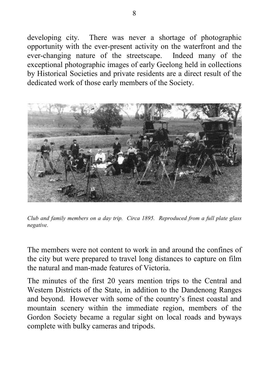developing city. There was never a shortage of photographic opportunity with the ever-present activity on the waterfront and the ever-changing nature of the streetscape. Indeed many of the exceptional photographic images of early Geelong held in collections by Historical Societies and private residents are a direct result of the dedicated work of those early members of the Society.



*Club and family members on a day trip. Circa 1895. Reproduced from a full plate glass negative.*

The members were not content to work in and around the confines of the city but were prepared to travel long distances to capture on film the natural and man-made features of Victoria.

The minutes of the first 20 years mention trips to the Central and Western Districts of the State, in addition to the Dandenong Ranges and beyond. However with some of the country's finest coastal and mountain scenery within the immediate region, members of the Gordon Society became a regular sight on local roads and byways complete with bulky cameras and tripods.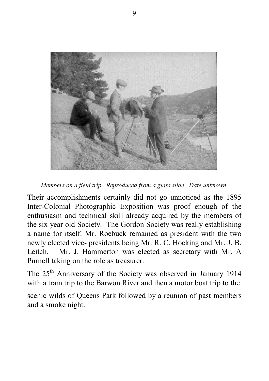

*Members on a field trip. Reproduced from a glass slide. Date unknown.*

Their accomplishments certainly did not go unnoticed as the 1895 Inter-Colonial Photographic Exposition was proof enough of the enthusiasm and technical skill already acquired by the members of the six year old Society. The Gordon Society was really establishing a name for itself. Mr. Roebuck remained as president with the two newly elected vice- presidents being Mr. R. C. Hocking and Mr. J. B. Leitch. Mr. J. Hammerton was elected as secretary with Mr. A Purnell taking on the role as treasurer.

The 25th Anniversary of the Society was observed in January 1914 with a tram trip to the Barwon River and then a motor boat trip to the

scenic wilds of Queens Park followed by a reunion of past members and a smoke night.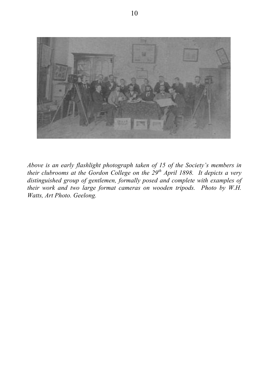

*Above is an early flashlight photograph taken of 15 of the Society's members in their clubrooms at the Gordon College on the 29th April 1898. It depicts a very distinguished group of gentlemen, formally posed and complete with examples of their work and two large format cameras on wooden tripods. Photo by W.H. Watts, Art Photo. Geelong.*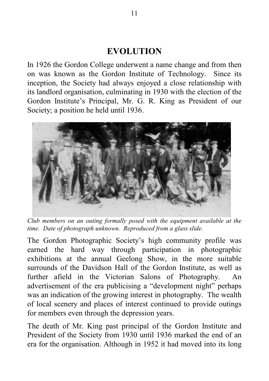## **EVOLUTION**

In 1926 the Gordon College underwent a name change and from then on was known as the Gordon Institute of Technology. Since its inception, the Society had always enjoyed a close relationship with its landlord organisation, culminating in 1930 with the election of the Gordon Institute's Principal, Mr. G. R. King as President of our Society; a position he held until 1936.



*Club members on an outing formally posed with the equipment available at the time. Date of photograph unknown. Reproduced from a glass slide.*

The Gordon Photographic Society's high community profile was earned the hard way through participation in photographic exhibitions at the annual Geelong Show, in the more suitable surrounds of the Davidson Hall of the Gordon Institute, as well as further afield in the Victorian Salons of Photography. An advertisement of the era publicising a "development night" perhaps was an indication of the growing interest in photography. The wealth of local scenery and places of interest continued to provide outings for members even through the depression years.

The death of Mr. King past principal of the Gordon Institute and President of the Society from 1930 until 1936 marked the end of an era for the organisation. Although in 1952 it had moved into its long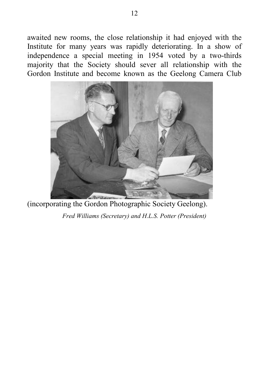awaited new rooms, the close relationship it had enjoyed with the Institute for many years was rapidly deteriorating. In a show of independence a special meeting in 1954 voted by a two-thirds majority that the Society should sever all relationship with the Gordon Institute and become known as the Geelong Camera Club



(incorporating the Gordon Photographic Society Geelong).

*Fred Williams (Secretary) and H.L.S. Potter (President)*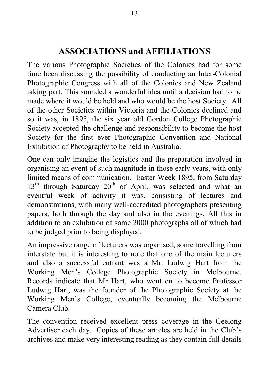# **ASSOCIATIONS and AFFILIATIONS**

The various Photographic Societies of the Colonies had for some time been discussing the possibility of conducting an Inter-Colonial Photographic Congress with all of the Colonies and New Zealand taking part. This sounded a wonderful idea until a decision had to be made where it would be held and who would be the host Society. All of the other Societies within Victoria and the Colonies declined and so it was, in 1895, the six year old Gordon College Photographic Society accepted the challenge and responsibility to become the host Society for the first ever Photographic Convention and National Exhibition of Photography to be held in Australia.

One can only imagine the logistics and the preparation involved in organising an event of such magnitude in those early years, with only limited means of communication. Easter Week 1895, from Saturday  $13<sup>th</sup>$  through Saturday  $20<sup>th</sup>$  of April, was selected and what an eventful week of activity it was, consisting of lectures and demonstrations, with many well-accredited photographers presenting papers, both through the day and also in the evenings. All this in addition to an exhibition of some 2000 photographs all of which had to be judged prior to being displayed.

An impressive range of lecturers was organised, some travelling from interstate but it is interesting to note that one of the main lecturers and also a successful entrant was a Mr. Ludwig Hart from the Working Men's College Photographic Society in Melbourne. Records indicate that Mr Hart, who went on to become Professor Ludwig Hart, was the founder of the Photographic Society at the Working Men's College, eventually becoming the Melbourne Camera Club.

The convention received excellent press coverage in the Geelong Advertiser each day. Copies of these articles are held in the Club's archives and make very interesting reading as they contain full details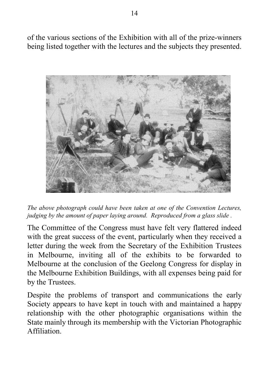of the various sections of the Exhibition with all of the prize-winners being listed together with the lectures and the subjects they presented.



*The above photograph could have been taken at one of the Convention Lectures, judging by the amount of paper laying around. Reproduced from a glass slide .*

The Committee of the Congress must have felt very flattered indeed with the great success of the event, particularly when they received a letter during the week from the Secretary of the Exhibition Trustees in Melbourne, inviting all of the exhibits to be forwarded to Melbourne at the conclusion of the Geelong Congress for display in the Melbourne Exhibition Buildings, with all expenses being paid for by the Trustees.

Despite the problems of transport and communications the early Society appears to have kept in touch with and maintained a happy relationship with the other photographic organisations within the State mainly through its membership with the Victorian Photographic Affiliation.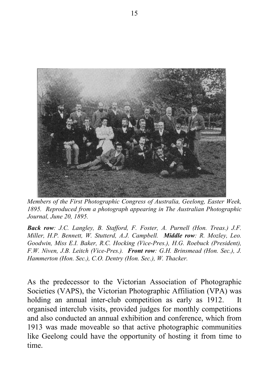

*Members of the First Photographic Congress of Australia, Geelong, Easter Week, 1895. Reproduced from a photograph appearing in The Australian Photographic Journal, June 20, 1895.*

*Back row: J.C. Langley, B. Stafford, F. Foster, A. Purnell (Hon. Treas.) J.F. Miller, H.P. Bennett, W. Stutterd, A.J. Campbell. Middle row: R. Mozley, Leo. Goodwin, Miss E.I. Baker, R.C. Hocking (Vice-Pres.), H.G. Roebuck (President), F.W. Niven, J.B. Leitch (Vice-Pres.). Front row: G.H. Brinsmead (Hon. Sec.), J. Hammerton (Hon. Sec.), C.O. Dentry (Hon. Sec.), W. Thacker.*

As the predecessor to the Victorian Association of Photographic Societies (VAPS), the Victorian Photographic Affiliation (VPA) was holding an annual inter-club competition as early as 1912. It organised interclub visits, provided judges for monthly competitions and also conducted an annual exhibition and conference, which from 1913 was made moveable so that active photographic communities like Geelong could have the opportunity of hosting it from time to time.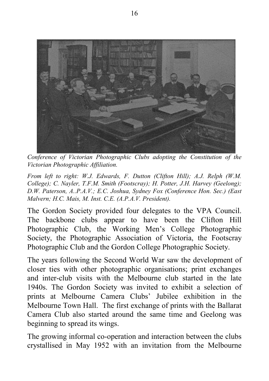

*Conference of Victorian Photographic Clubs adopting the Constitution of the Victorian Photographic Affiliation.*

*From left to right: W.J. Edwards, F. Dutton (Clifton Hill); A.J. Relph (W.M. College); C. Nayler, T.F.M. Smith (Footscray); H. Potter, J.H. Harvey (Geelong); D.W. Paterson, A..P.A.V.; E.C. Joshua, Sydney Fox (Conference Hon. Sec.) (East Malvern; H.C. Mais, M. Inst. C.E. (A.P.A.V. President).*

The Gordon Society provided four delegates to the VPA Council. The backbone clubs appear to have been the Clifton Hill Photographic Club, the Working Men's College Photographic Society, the Photographic Association of Victoria, the Footscray Photographic Club and the Gordon College Photographic Society.

The years following the Second World War saw the development of closer ties with other photographic organisations; print exchanges and inter-club visits with the Melbourne club started in the late 1940s. The Gordon Society was invited to exhibit a selection of prints at Melbourne Camera Clubs' Jubilee exhibition in the Melbourne Town Hall. The first exchange of prints with the Ballarat Camera Club also started around the same time and Geelong was beginning to spread its wings.

The growing informal co-operation and interaction between the clubs crystallised in May 1952 with an invitation from the Melbourne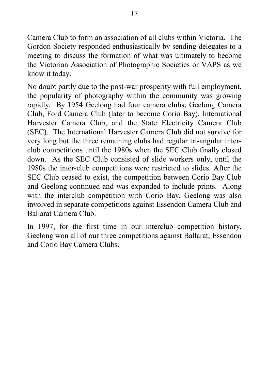Camera Club to form an association of all clubs within Victoria. The Gordon Society responded enthusiastically by sending delegates to a meeting to discuss the formation of what was ultimately to become the Victorian Association of Photographic Societies or VAPS as we know it today.

No doubt partly due to the post-war prosperity with full employment, the popularity of photography within the community was growing rapidly. By 1954 Geelong had four camera clubs; Geelong Camera Club, Ford Camera Club (later to become Corio Bay), International Harvester Camera Club, and the State Electricity Camera Club (SEC). The International Harvester Camera Club did not survive for very long but the three remaining clubs had regular tri-angular interclub competitions until the 1980s when the SEC Club finally closed down. As the SEC Club consisted of slide workers only, until the 1980s the inter-club competitions were restricted to slides. After the SEC Club ceased to exist, the competition between Corio Bay Club and Geelong continued and was expanded to include prints. Along with the interclub competition with Corio Bay, Geelong was also involved in separate competitions against Essendon Camera Club and Ballarat Camera Club.

In 1997, for the first time in our interclub competition history, Geelong won all of our three competitions against Ballarat, Essendon and Corio Bay Camera Clubs.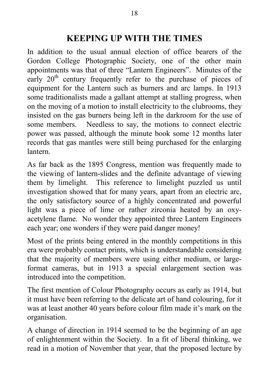# **KEEPING UP WITH THE TIMES**

In addition to the usual annual election of office bearers of the Gordon College Photographic Society, one of the other main appointments was that of three "Lantern Engineers". Minutes of the early  $20<sup>th</sup>$  century frequently refer to the purchase of pieces of equipment for the Lantern such as burners and arc lamps. In 1913 some traditionalists made a gallant attempt at stalling progress, when on the moving of a motion to install electricity to the clubrooms, they insisted on the gas burners being left in the darkroom for the use of some members. Needless to say, the motions to connect electric power was passed, although the minute book some 12 months later records that gas mantles were still being purchased for the enlarging lantern.

As far back as the 1895 Congress, mention was frequently made to the viewing of lantern-slides and the definite advantage of viewing them by limelight. This reference to limelight puzzled us until investigation showed that for many years, apart from an electric arc, the only satisfactory source of a highly concentrated and powerful light was a piece of lime or rather zirconia heated by an oxyacetylene flame. No wonder they appointed three Lantern Engineers each year; one wonders if they were paid danger money!

Most of the prints being entered in the monthly competitions in this era were probably contact prints, which is understandable considering that the majority of members were using either medium, or largeformat cameras, but in 1913 a special enlargement section was introduced into the competition.

The first mention of Colour Photography occurs as early as 1914, but it must have been referring to the delicate art of hand colouring, for it was at least another 40 years before colour film made it's mark on the organisation.

A change of direction in 1914 seemed to be the beginning of an age of enlightenment within the Society. In a fit of liberal thinking, we read in a motion of November that year, that the proposed lecture by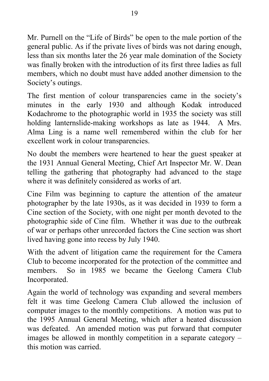Mr. Purnell on the "Life of Birds" be open to the male portion of the general public. As if the private lives of birds was not daring enough, less than six months later the 26 year male domination of the Society was finally broken with the introduction of its first three ladies as full members, which no doubt must have added another dimension to the Society's outings.

The first mention of colour transparencies came in the society's minutes in the early 1930 and although Kodak introduced Kodachrome to the photographic world in 1935 the society was still holding lanternslide-making workshops as late as 1944. A Mrs. Alma Ling is a name well remembered within the club for her excellent work in colour transparencies.

No doubt the members were heartened to hear the guest speaker at the 1931 Annual General Meeting, Chief Art Inspector Mr. W. Dean telling the gathering that photography had advanced to the stage where it was definitely considered as works of art.

Cine Film was beginning to capture the attention of the amateur photographer by the late 1930s, as it was decided in 1939 to form a Cine section of the Society, with one night per month devoted to the photographic side of Cine film. Whether it was due to the outbreak of war or perhaps other unrecorded factors the Cine section was short lived having gone into recess by July 1940.

With the advent of litigation came the requirement for the Camera Club to become incorporated for the protection of the committee and members. So in 1985 we became the Geelong Camera Club Incorporated.

Again the world of technology was expanding and several members felt it was time Geelong Camera Club allowed the inclusion of computer images to the monthly competitions. A motion was put to the 1995 Annual General Meeting, which after a heated discussion was defeated. An amended motion was put forward that computer images be allowed in monthly competition in a separate category – this motion was carried.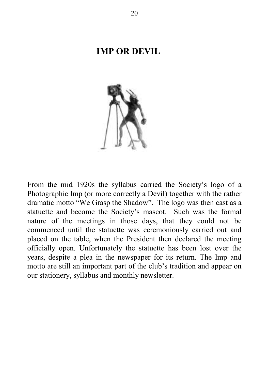#### **IMP OR DEVIL**



From the mid 1920s the syllabus carried the Society's logo of a Photographic Imp (or more correctly a Devil) together with the rather dramatic motto "We Grasp the Shadow". The logo was then cast as a statuette and become the Society's mascot. Such was the formal nature of the meetings in those days, that they could not be commenced until the statuette was ceremoniously carried out and placed on the table, when the President then declared the meeting officially open. Unfortunately the statuette has been lost over the years, despite a plea in the newspaper for its return. The Imp and motto are still an important part of the club's tradition and appear on our stationery, syllabus and monthly newsletter.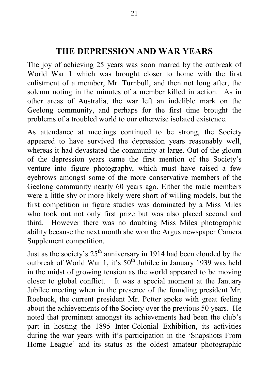## **THE DEPRESSION AND WAR YEARS**

The joy of achieving 25 years was soon marred by the outbreak of World War 1 which was brought closer to home with the first enlistment of a member, Mr. Turnbull, and then not long after, the solemn noting in the minutes of a member killed in action. As in other areas of Australia, the war left an indelible mark on the Geelong community, and perhaps for the first time brought the problems of a troubled world to our otherwise isolated existence.

As attendance at meetings continued to be strong, the Society appeared to have survived the depression years reasonably well, whereas it had devastated the community at large. Out of the gloom of the depression years came the first mention of the Society's venture into figure photography, which must have raised a few eyebrows amongst some of the more conservative members of the Geelong community nearly 60 years ago. Either the male members were a little shy or more likely were short of willing models, but the first competition in figure studies was dominated by a Miss Miles who took out not only first prize but was also placed second and third. However there was no doubting Miss Miles photographic ability because the next month she won the Argus newspaper Camera Supplement competition.

Just as the society's  $25<sup>th</sup>$  anniversary in 1914 had been clouded by the outbreak of World War 1, it's 50<sup>th</sup> Jubilee in January 1939 was held in the midst of growing tension as the world appeared to be moving closer to global conflict. It was a special moment at the January Jubilee meeting when in the presence of the founding president Mr. Roebuck, the current president Mr. Potter spoke with great feeling about the achievements of the Society over the previous 50 years. He noted that prominent amongst its achievements had been the club's part in hosting the 1895 Inter-Colonial Exhibition, its activities during the war years with it's participation in the 'Snapshots From Home League' and its status as the oldest amateur photographic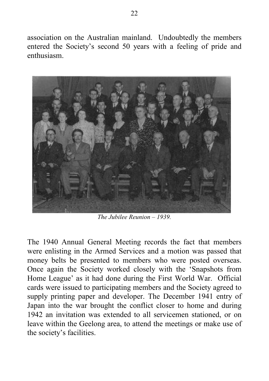association on the Australian mainland. Undoubtedly the members entered the Society's second 50 years with a feeling of pride and enthusiasm.



*The Jubilee Reunion – 1939.*

The 1940 Annual General Meeting records the fact that members were enlisting in the Armed Services and a motion was passed that money belts be presented to members who were posted overseas. Once again the Society worked closely with the 'Snapshots from Home League' as it had done during the First World War. Official cards were issued to participating members and the Society agreed to supply printing paper and developer. The December 1941 entry of Japan into the war brought the conflict closer to home and during 1942 an invitation was extended to all servicemen stationed, or on leave within the Geelong area, to attend the meetings or make use of the society's facilities.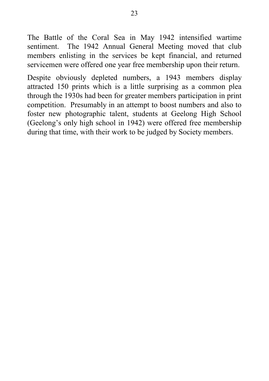The Battle of the Coral Sea in May 1942 intensified wartime sentiment. The 1942 Annual General Meeting moved that club members enlisting in the services be kept financial, and returned servicemen were offered one year free membership upon their return.

Despite obviously depleted numbers, a 1943 members display attracted 150 prints which is a little surprising as a common plea through the 1930s had been for greater members participation in print competition. Presumably in an attempt to boost numbers and also to foster new photographic talent, students at Geelong High School (Geelong's only high school in 1942) were offered free membership during that time, with their work to be judged by Society members.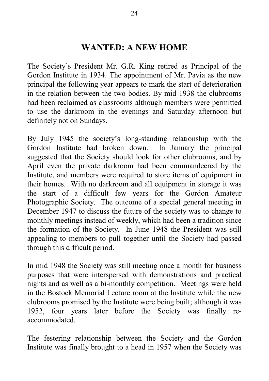## **WANTED: A NEW HOME**

The Society's President Mr. G.R. King retired as Principal of the Gordon Institute in 1934. The appointment of Mr. Pavia as the new principal the following year appears to mark the start of deterioration in the relation between the two bodies. By mid 1938 the clubrooms had been reclaimed as classrooms although members were permitted to use the darkroom in the evenings and Saturday afternoon but definitely not on Sundays.

By July 1945 the society's long-standing relationship with the Gordon Institute had broken down. In January the principal suggested that the Society should look for other clubrooms, and by April even the private darkroom had been commandeered by the Institute, and members were required to store items of equipment in their homes. With no darkroom and all equipment in storage it was the start of a difficult few years for the Gordon Amateur Photographic Society. The outcome of a special general meeting in December 1947 to discuss the future of the society was to change to monthly meetings instead of weekly, which had been a tradition since the formation of the Society. In June 1948 the President was still appealing to members to pull together until the Society had passed through this difficult period.

In mid 1948 the Society was still meeting once a month for business purposes that were interspersed with demonstrations and practical nights and as well as a bi-monthly competition. Meetings were held in the Bostock Memorial Lecture room at the Institute while the new clubrooms promised by the Institute were being built; although it was 1952, four years later before the Society was finally reaccommodated.

The festering relationship between the Society and the Gordon Institute was finally brought to a head in 1957 when the Society was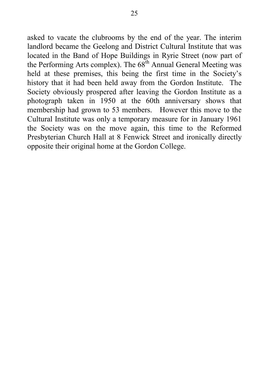asked to vacate the clubrooms by the end of the year. The interim landlord became the Geelong and District Cultural Institute that was located in the Band of Hope Buildings in Ryrie Street (now part of the Performing Arts complex). The 68<sup>th</sup> Annual General Meeting was held at these premises, this being the first time in the Society's history that it had been held away from the Gordon Institute. The Society obviously prospered after leaving the Gordon Institute as a photograph taken in 1950 at the 60th anniversary shows that membership had grown to 53 members. However this move to the Cultural Institute was only a temporary measure for in January 1961 the Society was on the move again, this time to the Reformed Presbyterian Church Hall at 8 Fenwick Street and ironically directly opposite their original home at the Gordon College.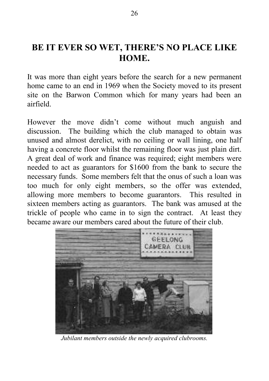# **BE IT EVER SO WET, THERE'S NO PLACE LIKE HOME.**

It was more than eight years before the search for a new permanent home came to an end in 1969 when the Society moved to its present site on the Barwon Common which for many years had been an airfield.

However the move didn't come without much anguish and discussion. The building which the club managed to obtain was unused and almost derelict, with no ceiling or wall lining, one half having a concrete floor whilst the remaining floor was just plain dirt. A great deal of work and finance was required; eight members were needed to act as guarantors for \$1600 from the bank to secure the necessary funds. Some members felt that the onus of such a loan was too much for only eight members, so the offer was extended, allowing more members to become guarantors. This resulted in sixteen members acting as guarantors. The bank was amused at the trickle of people who came in to sign the contract. At least they became aware our members cared about the future of their club.



*Jubilant members outside the newly acquired clubrooms.*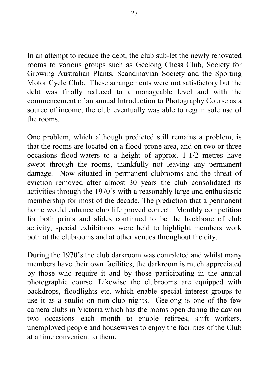In an attempt to reduce the debt, the club sub-let the newly renovated rooms to various groups such as Geelong Chess Club, Society for Growing Australian Plants, Scandinavian Society and the Sporting Motor Cycle Club. These arrangements were not satisfactory but the debt was finally reduced to a manageable level and with the commencement of an annual Introduction to Photography Course as a source of income, the club eventually was able to regain sole use of the rooms.

One problem, which although predicted still remains a problem, is that the rooms are located on a flood-prone area, and on two or three occasions flood-waters to a height of approx. 1-1/2 metres have swept through the rooms, thankfully not leaving any permanent damage. Now situated in permanent clubrooms and the threat of eviction removed after almost 30 years the club consolidated its activities through the 1970's with a reasonably large and enthusiastic membership for most of the decade. The prediction that a permanent home would enhance club life proved correct. Monthly competition for both prints and slides continued to be the backbone of club activity, special exhibitions were held to highlight members work both at the clubrooms and at other venues throughout the city.

During the 1970's the club darkroom was completed and whilst many members have their own facilities, the darkroom is much appreciated by those who require it and by those participating in the annual photographic course. Likewise the clubrooms are equipped with backdrops, floodlights etc. which enable special interest groups to use it as a studio on non-club nights. Geelong is one of the few camera clubs in Victoria which has the rooms open during the day on two occasions each month to enable retirees, shift workers, unemployed people and housewives to enjoy the facilities of the Club at a time convenient to them.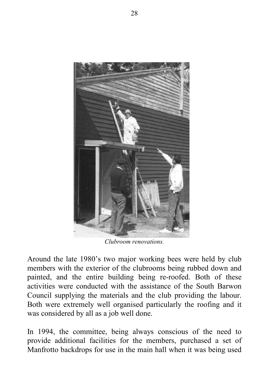

*Clubroom renovations.*

Around the late 1980's two major working bees were held by club members with the exterior of the clubrooms being rubbed down and painted, and the entire building being re-roofed. Both of these activities were conducted with the assistance of the South Barwon Council supplying the materials and the club providing the labour. Both were extremely well organised particularly the roofing and it was considered by all as a job well done.

In 1994, the committee, being always conscious of the need to provide additional facilities for the members, purchased a set of Manfrotto backdrops for use in the main hall when it was being used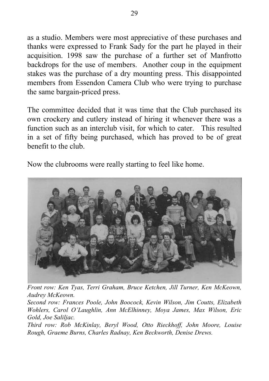as a studio. Members were most appreciative of these purchases and thanks were expressed to Frank Sady for the part he played in their acquisition. 1998 saw the purchase of a further set of Manfrotto backdrops for the use of members. Another coup in the equipment stakes was the purchase of a dry mounting press. This disappointed members from Essendon Camera Club who were trying to purchase the same bargain-priced press.

The committee decided that it was time that the Club purchased its own crockery and cutlery instead of hiring it whenever there was a function such as an interclub visit, for which to cater. This resulted in a set of fifty being purchased, which has proved to be of great benefit to the club.

Now the clubrooms were really starting to feel like home.



*Front row: Ken Tyas, Terri Graham, Bruce Ketchen, Jill Turner, Ken McKeown, Audrey McKeown.*

*Second row: Frances Poole, John Boocock, Kevin Wilson, Jim Coutts, Elizabeth Wohlers, Carol O'Laughlin, Ann McElhinney, Moya James, Max Wilson, Eric Gold, Joe Saliljac.*

*Third row: Rob McKinlay, Beryl Wood, Otto Rieckhoff, John Moore, Louise Rough, Graeme Burns, Charles Radnay, Ken Beckworth, Denise Drews.*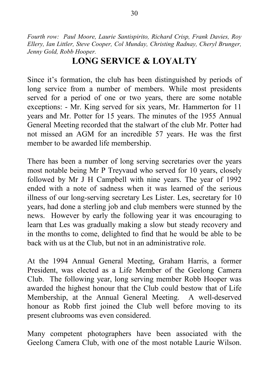*Fourth row: Paul Moore, Laurie Santispirito, Richard Crisp, Frank Davies, Roy Ellery, Ian Littler, Steve Cooper, Col Munday, Christing Radnay, Cheryl Brunger, Jenny Gold, Robb Hooper.*

## **LONG SERVICE & LOYALTY**

Since it's formation, the club has been distinguished by periods of long service from a number of members. While most presidents served for a period of one or two years, there are some notable exceptions: - Mr. King served for six years, Mr. Hammerton for 11 years and Mr. Potter for 15 years. The minutes of the 1955 Annual General Meeting recorded that the stalwart of the club Mr. Potter had not missed an AGM for an incredible 57 years. He was the first member to be awarded life membership.

There has been a number of long serving secretaries over the years most notable being Mr P Treyvaud who served for 10 years, closely followed by Mr J H Campbell with nine years. The year of 1992 ended with a note of sadness when it was learned of the serious illness of our long-serving secretary Les Lister. Les, secretary for 10 years, had done a sterling job and club members were stunned by the news. However by early the following year it was encouraging to learn that Les was gradually making a slow but steady recovery and in the months to come, delighted to find that he would be able to be back with us at the Club, but not in an administrative role.

At the 1994 Annual General Meeting, Graham Harris, a former President, was elected as a Life Member of the Geelong Camera Club. The following year, long serving member Robb Hooper was awarded the highest honour that the Club could bestow that of Life Membership, at the Annual General Meeting. A well-deserved honour as Robb first joined the Club well before moving to its present clubrooms was even considered.

Many competent photographers have been associated with the Geelong Camera Club, with one of the most notable Laurie Wilson.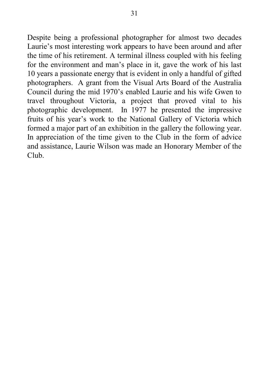Despite being a professional photographer for almost two decades Laurie's most interesting work appears to have been around and after the time of his retirement. A terminal illness coupled with his feeling for the environment and man's place in it, gave the work of his last 10 years a passionate energy that is evident in only a handful of gifted photographers. A grant from the Visual Arts Board of the Australia Council during the mid 1970's enabled Laurie and his wife Gwen to travel throughout Victoria, a project that proved vital to his photographic development. In 1977 he presented the impressive fruits of his year's work to the National Gallery of Victoria which formed a major part of an exhibition in the gallery the following year. In appreciation of the time given to the Club in the form of advice and assistance, Laurie Wilson was made an Honorary Member of the Club.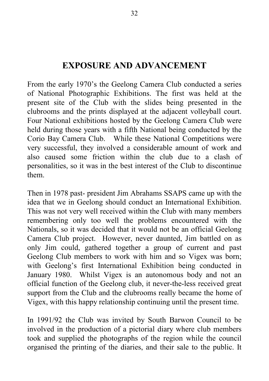## **EXPOSURE AND ADVANCEMENT**

From the early 1970's the Geelong Camera Club conducted a series of National Photographic Exhibitions. The first was held at the present site of the Club with the slides being presented in the clubrooms and the prints displayed at the adjacent volleyball court. Four National exhibitions hosted by the Geelong Camera Club were held during those years with a fifth National being conducted by the Corio Bay Camera Club. While these National Competitions were very successful, they involved a considerable amount of work and also caused some friction within the club due to a clash of personalities, so it was in the best interest of the Club to discontinue them.

Then in 1978 past- president Jim Abrahams SSAPS came up with the idea that we in Geelong should conduct an International Exhibition. This was not very well received within the Club with many members remembering only too well the problems encountered with the Nationals, so it was decided that it would not be an official Geelong Camera Club project. However, never daunted, Jim battled on as only Jim could, gathered together a group of current and past Geelong Club members to work with him and so Vigex was born; with Geelong's first International Exhibition being conducted in January 1980. Whilst Vigex is an autonomous body and not an official function of the Geelong club, it never-the-less received great support from the Club and the clubrooms really became the home of Vigex, with this happy relationship continuing until the present time.

In 1991/92 the Club was invited by South Barwon Council to be involved in the production of a pictorial diary where club members took and supplied the photographs of the region while the council organised the printing of the diaries, and their sale to the public. It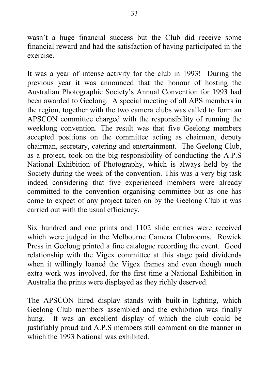wasn't a huge financial success but the Club did receive some financial reward and had the satisfaction of having participated in the exercise.

It was a year of intense activity for the club in 1993! During the previous year it was announced that the honour of hosting the Australian Photographic Society's Annual Convention for 1993 had been awarded to Geelong. A special meeting of all APS members in the region, together with the two camera clubs was called to form an APSCON committee charged with the responsibility of running the weeklong convention. The result was that five Geelong members accepted positions on the committee acting as chairman, deputy chairman, secretary, catering and entertainment. The Geelong Club, as a project, took on the big responsibility of conducting the A.P.S National Exhibition of Photography, which is always held by the Society during the week of the convention. This was a very big task indeed considering that five experienced members were already committed to the convention organising committee but as one has come to expect of any project taken on by the Geelong Club it was carried out with the usual efficiency.

Six hundred and one prints and 1102 slide entries were received which were judged in the Melbourne Camera Clubrooms. Rowick Press in Geelong printed a fine catalogue recording the event. Good relationship with the Vigex committee at this stage paid dividends when it willingly loaned the Vigex frames and even though much extra work was involved, for the first time a National Exhibition in Australia the prints were displayed as they richly deserved.

The APSCON hired display stands with built-in lighting, which Geelong Club members assembled and the exhibition was finally hung. It was an excellent display of which the club could be justifiably proud and A.P.S members still comment on the manner in which the 1993 National was exhibited.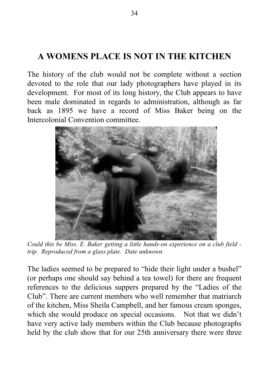# **A WOMENS PLACE IS NOT IN THE KITCHEN**

The history of the club would not be complete without a section devoted to the role that our lady photographers have played in its development. For most of its long history, the Club appears to have been male dominated in regards to administration, although as far back as 1895 we have a record of Miss Baker being on the Intercolonial Convention committee.



*Could this be Miss. E. Baker getting a little hands-on experience on a club field trip. Reproduced from a glass plate. Date unknown.*

The ladies seemed to be prepared to "hide their light under a bushel" (or perhaps one should say behind a tea towel) for there are frequent references to the delicious suppers prepared by the "Ladies of the Club". There are current members who well remember that matriarch of the kitchen, Miss Sheila Campbell, and her famous cream sponges, which she would produce on special occasions. Not that we didn't have very active lady members within the Club because photographs held by the club show that for our 25th anniversary there were three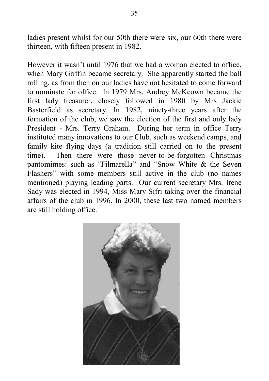ladies present whilst for our 50th there were six, our 60th there were thirteen, with fifteen present in 1982.

However it wasn't until 1976 that we had a woman elected to office, when Mary Griffin became secretary. She apparently started the ball rolling, as from then on our ladies have not hesitated to come forward to nominate for office. In 1979 Mrs. Audrey McKeown became the first lady treasurer, closely followed in 1980 by Mrs Jackie Basterfield as secretary. In 1982, ninety-three years after the formation of the club, we saw the election of the first and only lady President - Mrs. Terry Graham. During her term in office Terry instituted many innovations to our Club, such as weekend camps, and family kite flying days (a tradition still carried on to the present time). Then there were those never-to-be-forgotten Christmas pantomimes: such as "Filmarella" and "Snow White & the Seven Flashers" with some members still active in the club (no names mentioned) playing leading parts. Our current secretary Mrs. Irene Sady was elected in 1994, Miss Mary Sifri taking over the financial affairs of the club in 1996. In 2000, these last two named members are still holding office.

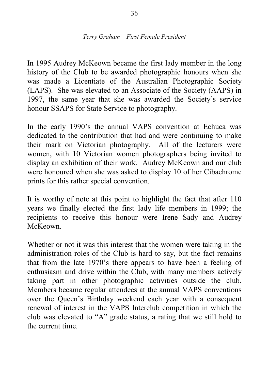#### *Terry Graham – First Female President*

In 1995 Audrey McKeown became the first lady member in the long history of the Club to be awarded photographic honours when she was made a Licentiate of the Australian Photographic Society (LAPS). She was elevated to an Associate of the Society (AAPS) in 1997, the same year that she was awarded the Society's service honour SSAPS for State Service to photography.

In the early 1990's the annual VAPS convention at Echuca was dedicated to the contribution that had and were continuing to make their mark on Victorian photography. All of the lecturers were women, with 10 Victorian women photographers being invited to display an exhibition of their work. Audrey McKeown and our club were honoured when she was asked to display 10 of her Cibachrome prints for this rather special convention.

It is worthy of note at this point to highlight the fact that after 110 years we finally elected the first lady life members in 1999; the recipients to receive this honour were Irene Sady and Audrey McKeown.

Whether or not it was this interest that the women were taking in the administration roles of the Club is hard to say, but the fact remains that from the late 1970's there appears to have been a feeling of enthusiasm and drive within the Club, with many members actively taking part in other photographic activities outside the club. Members became regular attendees at the annual VAPS conventions over the Queen's Birthday weekend each year with a consequent renewal of interest in the VAPS Interclub competition in which the club was elevated to "A" grade status, a rating that we still hold to the current time.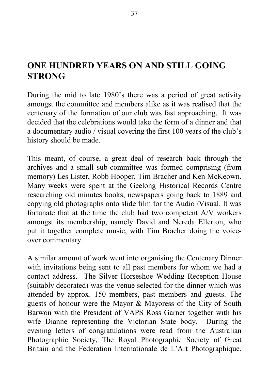# **ONE HUNDRED YEARS ON AND STILL GOING STRONG**

During the mid to late 1980's there was a period of great activity amongst the committee and members alike as it was realised that the centenary of the formation of our club was fast approaching. It was decided that the celebrations would take the form of a dinner and that a documentary audio / visual covering the first 100 years of the club's history should be made.

This meant, of course, a great deal of research back through the archives and a small sub-committee was formed comprising (from memory) Les Lister, Robb Hooper, Tim Bracher and Ken McKeown. Many weeks were spent at the Geelong Historical Records Centre researching old minutes books, newspapers going back to 1889 and copying old photographs onto slide film for the Audio /Visual. It was fortunate that at the time the club had two competent A/V workers amongst its membership, namely David and Nereda Ellerton, who put it together complete music, with Tim Bracher doing the voiceover commentary.

A similar amount of work went into organising the Centenary Dinner with invitations being sent to all past members for whom we had a contact address. The Silver Horseshoe Wedding Reception House (suitably decorated) was the venue selected for the dinner which was attended by approx. 150 members, past members and guests. The guests of honour were the Mayor & Mayoress of the City of South Barwon with the President of VAPS Ross Garner together with his wife Dianne representing the Victorian State body. During the evening letters of congratulations were read from the Australian Photographic Society, The Royal Photographic Society of Great Britain and the Federation Internationale de l.'Art Photographique.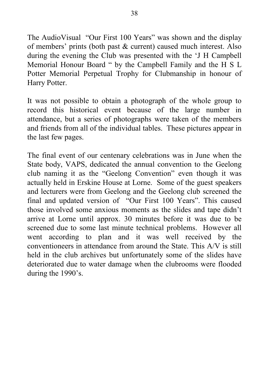The AudioVisual "Our First 100 Years" was shown and the display of members' prints (both past & current) caused much interest. Also during the evening the Club was presented with the 'J H Campbell Memorial Honour Board " by the Campbell Family and the H S L Potter Memorial Perpetual Trophy for Clubmanship in honour of Harry Potter.

It was not possible to obtain a photograph of the whole group to record this historical event because of the large number in attendance, but a series of photographs were taken of the members and friends from all of the individual tables. These pictures appear in the last few pages.

The final event of our centenary celebrations was in June when the State body, VAPS, dedicated the annual convention to the Geelong club naming it as the "Geelong Convention" even though it was actually held in Erskine House at Lorne. Some of the guest speakers and lecturers were from Geelong and the Geelong club screened the final and updated version of "Our First 100 Years". This caused those involved some anxious moments as the slides and tape didn't arrive at Lorne until approx. 30 minutes before it was due to be screened due to some last minute technical problems. However all went according to plan and it was well received by the conventioneers in attendance from around the State. This A/V is still held in the club archives but unfortunately some of the slides have deteriorated due to water damage when the clubrooms were flooded during the 1990's.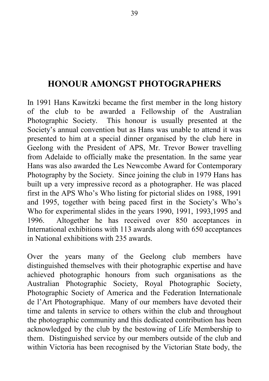# **HONOUR AMONGST PHOTOGRAPHERS**

In 1991 Hans Kawitzki became the first member in the long history of the club to be awarded a Fellowship of the Australian Photographic Society. This honour is usually presented at the Society's annual convention but as Hans was unable to attend it was presented to him at a special dinner organised by the club here in Geelong with the President of APS, Mr. Trevor Bower travelling from Adelaide to officially make the presentation. In the same year Hans was also awarded the Les Newcombe Award for Contemporary Photography by the Society. Since joining the club in 1979 Hans has built up a very impressive record as a photographer. He was placed first in the APS Who's Who listing for pictorial slides on 1988, 1991 and 1995, together with being paced first in the Society's Who's Who for experimental slides in the years 1990, 1991, 1993,1995 and 1996. Altogether he has received over 850 acceptances in International exhibitions with 113 awards along with 650 acceptances in National exhibitions with 235 awards.

Over the years many of the Geelong club members have distinguished themselves with their photographic expertise and have achieved photographic honours from such organisations as the Australian Photographic Society, Royal Photographic Society, Photographic Society of America and the Federation Internationale de l'Art Photographique. Many of our members have devoted their time and talents in service to others within the club and throughout the photographic community and this dedicated contribution has been acknowledged by the club by the bestowing of Life Membership to them. Distinguished service by our members outside of the club and within Victoria has been recognised by the Victorian State body, the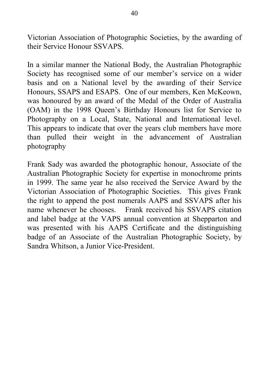Victorian Association of Photographic Societies, by the awarding of their Service Honour SSVAPS.

In a similar manner the National Body, the Australian Photographic Society has recognised some of our member's service on a wider basis and on a National level by the awarding of their Service Honours, SSAPS and ESAPS. One of our members, Ken McKeown, was honoured by an award of the Medal of the Order of Australia (OAM) in the 1998 Queen's Birthday Honours list for Service to Photography on a Local, State, National and International level. This appears to indicate that over the years club members have more than pulled their weight in the advancement of Australian photography

Frank Sady was awarded the photographic honour, Associate of the Australian Photographic Society for expertise in monochrome prints in 1999. The same year he also received the Service Award by the Victorian Association of Photographic Societies. This gives Frank the right to append the post numerals AAPS and SSVAPS after his name whenever he chooses. Frank received his SSVAPS citation and label badge at the VAPS annual convention at Shepparton and was presented with his AAPS Certificate and the distinguishing badge of an Associate of the Australian Photographic Society, by Sandra Whitson, a Junior Vice-President.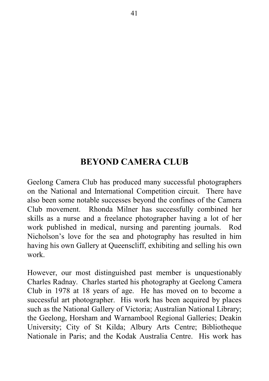# **BEYOND CAMERA CLUB**

Geelong Camera Club has produced many successful photographers on the National and International Competition circuit. There have also been some notable successes beyond the confines of the Camera Club movement. Rhonda Milner has successfully combined her skills as a nurse and a freelance photographer having a lot of her work published in medical, nursing and parenting journals. Rod Nicholson's love for the sea and photography has resulted in him having his own Gallery at Queenscliff, exhibiting and selling his own work.

However, our most distinguished past member is unquestionably Charles Radnay. Charles started his photography at Geelong Camera Club in 1978 at 18 years of age. He has moved on to become a successful art photographer. His work has been acquired by places such as the National Gallery of Victoria; Australian National Library; the Geelong, Horsham and Warnambool Regional Galleries; Deakin University; City of St Kilda; Albury Arts Centre; Bibliotheque Nationale in Paris; and the Kodak Australia Centre. His work has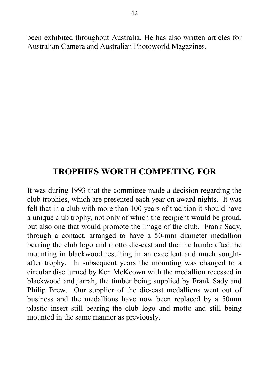been exhibited throughout Australia. He has also written articles for Australian Camera and Australian Photoworld Magazines.

## **TROPHIES WORTH COMPETING FOR**

It was during 1993 that the committee made a decision regarding the club trophies, which are presented each year on award nights. It was felt that in a club with more than 100 years of tradition it should have a unique club trophy, not only of which the recipient would be proud, but also one that would promote the image of the club. Frank Sady, through a contact, arranged to have a 50-mm diameter medallion bearing the club logo and motto die-cast and then he handcrafted the mounting in blackwood resulting in an excellent and much soughtafter trophy. In subsequent years the mounting was changed to a circular disc turned by Ken McKeown with the medallion recessed in blackwood and jarrah, the timber being supplied by Frank Sady and Philip Brew. Our supplier of the die-cast medallions went out of business and the medallions have now been replaced by a 50mm plastic insert still bearing the club logo and motto and still being mounted in the same manner as previously.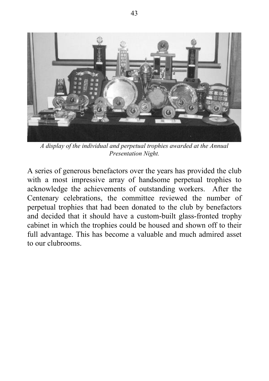

*A display of the individual and perpetual trophies awarded at the Annual Presentation Night.*

A series of generous benefactors over the years has provided the club with a most impressive array of handsome perpetual trophies to acknowledge the achievements of outstanding workers. After the Centenary celebrations, the committee reviewed the number of perpetual trophies that had been donated to the club by benefactors and decided that it should have a custom-built glass-fronted trophy cabinet in which the trophies could be housed and shown off to their full advantage. This has become a valuable and much admired asset to our clubrooms.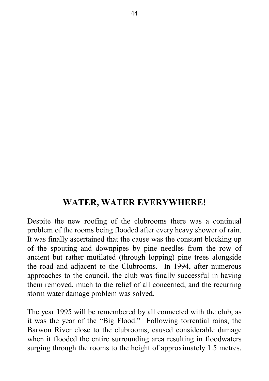## **WATER, WATER EVERYWHERE!**

Despite the new roofing of the clubrooms there was a continual problem of the rooms being flooded after every heavy shower of rain. It was finally ascertained that the cause was the constant blocking up of the spouting and downpipes by pine needles from the row of ancient but rather mutilated (through lopping) pine trees alongside the road and adjacent to the Clubrooms. In 1994, after numerous approaches to the council, the club was finally successful in having them removed, much to the relief of all concerned, and the recurring storm water damage problem was solved.

The year 1995 will be remembered by all connected with the club, as it was the year of the "Big Flood." Following torrential rains, the Barwon River close to the clubrooms, caused considerable damage when it flooded the entire surrounding area resulting in floodwaters surging through the rooms to the height of approximately 1.5 metres.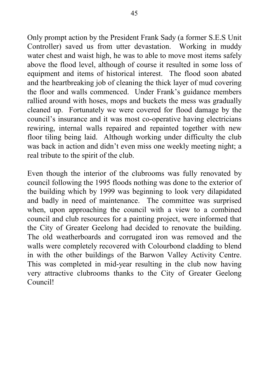Only prompt action by the President Frank Sady (a former S.E.S Unit Controller) saved us from utter devastation. Working in muddy water chest and waist high, he was to able to move most items safely above the flood level, although of course it resulted in some loss of equipment and items of historical interest. The flood soon abated and the heartbreaking job of cleaning the thick layer of mud covering the floor and walls commenced. Under Frank's guidance members rallied around with hoses, mops and buckets the mess was gradually cleaned up. Fortunately we were covered for flood damage by the council's insurance and it was most co-operative having electricians rewiring, internal walls repaired and repainted together with new floor tiling being laid. Although working under difficulty the club was back in action and didn't even miss one weekly meeting night; a real tribute to the spirit of the club.

Even though the interior of the clubrooms was fully renovated by council following the 1995 floods nothing was done to the exterior of the building which by 1999 was beginning to look very dilapidated and badly in need of maintenance. The committee was surprised when, upon approaching the council with a view to a combined council and club resources for a painting project, were informed that the City of Greater Geelong had decided to renovate the building. The old weatherboards and corrugated iron was removed and the walls were completely recovered with Colourbond cladding to blend in with the other buildings of the Barwon Valley Activity Centre. This was completed in mid-year resulting in the club now having very attractive clubrooms thanks to the City of Greater Geelong Council!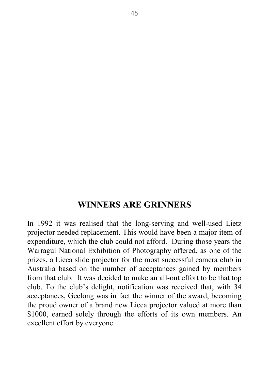#### **WINNERS ARE GRINNERS**

In 1992 it was realised that the long-serving and well-used Lietz projector needed replacement. This would have been a major item of expenditure, which the club could not afford. During those years the Warragul National Exhibition of Photography offered, as one of the prizes, a Lieca slide projector for the most successful camera club in Australia based on the number of acceptances gained by members from that club. It was decided to make an all-out effort to be that top club. To the club's delight, notification was received that, with 34 acceptances, Geelong was in fact the winner of the award, becoming the proud owner of a brand new Lieca projector valued at more than \$1000, earned solely through the efforts of its own members. An excellent effort by everyone.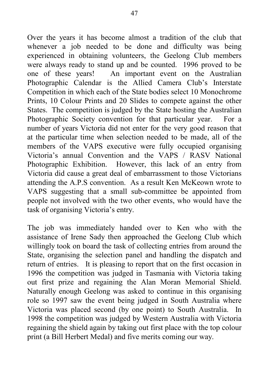Over the years it has become almost a tradition of the club that whenever a job needed to be done and difficulty was being experienced in obtaining volunteers, the Geelong Club members were always ready to stand up and be counted. 1996 proved to be one of these years! An important event on the Australian Photographic Calendar is the Allied Camera Club's Interstate Competition in which each of the State bodies select 10 Monochrome Prints, 10 Colour Prints and 20 Slides to compete against the other States. The competition is judged by the State hosting the Australian Photographic Society convention for that particular year. For a number of years Victoria did not enter for the very good reason that at the particular time when selection needed to be made, all of the members of the VAPS executive were fully occupied organising Victoria's annual Convention and the VAPS / RASV National Photographic Exhibition. However, this lack of an entry from Victoria did cause a great deal of embarrassment to those Victorians attending the A.P.S convention. As a result Ken McKeown wrote to VAPS suggesting that a small sub-committee be appointed from people not involved with the two other events, who would have the task of organising Victoria's entry.

The job was immediately handed over to Ken who with the assistance of Irene Sady then approached the Geelong Club which willingly took on board the task of collecting entries from around the State, organising the selection panel and handling the dispatch and return of entries. It is pleasing to report that on the first occasion in 1996 the competition was judged in Tasmania with Victoria taking out first prize and regaining the Alan Moran Memorial Shield. Naturally enough Geelong was asked to continue in this organising role so 1997 saw the event being judged in South Australia where Victoria was placed second (by one point) to South Australia. In 1998 the competition was judged by Western Australia with Victoria regaining the shield again by taking out first place with the top colour print (a Bill Herbert Medal) and five merits coming our way.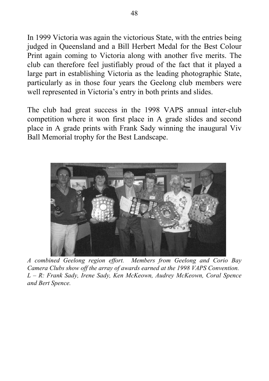In 1999 Victoria was again the victorious State, with the entries being judged in Queensland and a Bill Herbert Medal for the Best Colour Print again coming to Victoria along with another five merits. The club can therefore feel justifiably proud of the fact that it played a large part in establishing Victoria as the leading photographic State, particularly as in those four years the Geelong club members were well represented in Victoria's entry in both prints and slides.

The club had great success in the 1998 VAPS annual inter-club competition where it won first place in A grade slides and second place in A grade prints with Frank Sady winning the inaugural Viv Ball Memorial trophy for the Best Landscape.



*A combined Geelong region effort. Members from Geelong and Corio Bay Camera Clubs show off the array of awards earned at the 1998 VAPS Convention. L – R: Frank Sady, Irene Sady, Ken McKeown, Audrey McKeown, Coral Spence and Bert Spence.*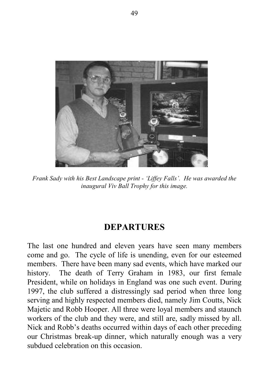

*Frank Sady with his Best Landscape print - 'Liffey Falls'. He was awarded the inaugural Viv Ball Trophy for this image.*

#### **DEPARTURES**

The last one hundred and eleven years have seen many members come and go. The cycle of life is unending, even for our esteemed members. There have been many sad events, which have marked our history. The death of Terry Graham in 1983, our first female President, while on holidays in England was one such event. During 1997, the club suffered a distressingly sad period when three long serving and highly respected members died, namely Jim Coutts, Nick Majetic and Robb Hooper. All three were loyal members and staunch workers of the club and they were, and still are, sadly missed by all. Nick and Robb's deaths occurred within days of each other preceding our Christmas break-up dinner, which naturally enough was a very subdued celebration on this occasion.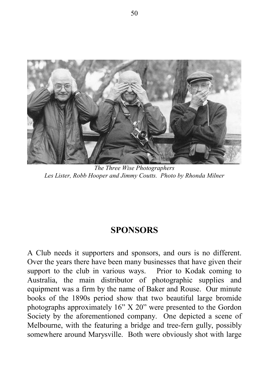

*The Three Wise Photographers Les Lister, Robb Hooper and Jimmy Coutts. Photo by Rhonda Milner*

## **SPONSORS**

A Club needs it supporters and sponsors, and ours is no different. Over the years there have been many businesses that have given their support to the club in various ways. Prior to Kodak coming to Australia, the main distributor of photographic supplies and equipment was a firm by the name of Baker and Rouse. Our minute books of the 1890s period show that two beautiful large bromide photographs approximately 16" X 20" were presented to the Gordon Society by the aforementioned company. One depicted a scene of Melbourne, with the featuring a bridge and tree-fern gully, possibly somewhere around Marysville. Both were obviously shot with large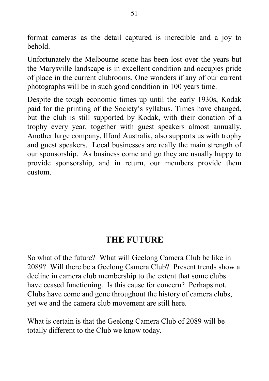format cameras as the detail captured is incredible and a joy to behold.

Unfortunately the Melbourne scene has been lost over the years but the Marysville landscape is in excellent condition and occupies pride of place in the current clubrooms. One wonders if any of our current photographs will be in such good condition in 100 years time.

Despite the tough economic times up until the early 1930s, Kodak paid for the printing of the Society's syllabus. Times have changed, but the club is still supported by Kodak, with their donation of a trophy every year, together with guest speakers almost annually. Another large company, Ilford Australia, also supports us with trophy and guest speakers. Local businesses are really the main strength of our sponsorship. As business come and go they are usually happy to provide sponsorship, and in return, our members provide them custom.

# **THE FUTURE**

So what of the future? What will Geelong Camera Club be like in 2089? Will there be a Geelong Camera Club? Present trends show a decline in camera club membership to the extent that some clubs have ceased functioning. Is this cause for concern? Perhaps not. Clubs have come and gone throughout the history of camera clubs, yet we and the camera club movement are still here.

What is certain is that the Geelong Camera Club of 2089 will be totally different to the Club we know today.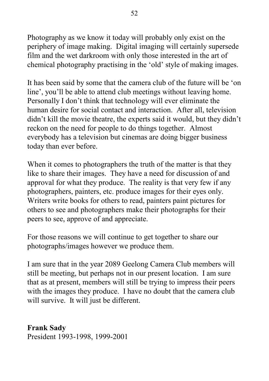Photography as we know it today will probably only exist on the periphery of image making. Digital imaging will certainly supersede film and the wet darkroom with only those interested in the art of chemical photography practising in the 'old' style of making images.

It has been said by some that the camera club of the future will be 'on line', you'll be able to attend club meetings without leaving home. Personally I don't think that technology will ever eliminate the human desire for social contact and interaction. After all, television didn't kill the movie theatre, the experts said it would, but they didn't reckon on the need for people to do things together. Almost everybody has a television but cinemas are doing bigger business today than ever before.

When it comes to photographers the truth of the matter is that they like to share their images. They have a need for discussion of and approval for what they produce. The reality is that very few if any photographers, painters, etc. produce images for their eyes only. Writers write books for others to read, painters paint pictures for others to see and photographers make their photographs for their peers to see, approve of and appreciate.

For those reasons we will continue to get together to share our photographs/images however we produce them.

I am sure that in the year 2089 Geelong Camera Club members will still be meeting, but perhaps not in our present location. I am sure that as at present, members will still be trying to impress their peers with the images they produce. I have no doubt that the camera club will survive. It will just be different.

**Frank Sady** President 1993-1998, 1999-2001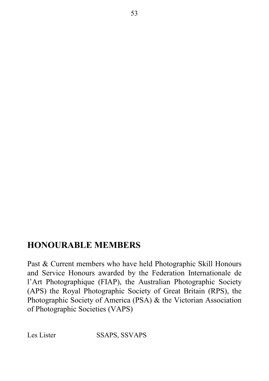# **HONOURABLE MEMBERS**

Past & Current members who have held Photographic Skill Honours and Service Honours awarded by the Federation Internationale de l'Art Photographique (FIAP), the Australian Photographic Society (APS) the Royal Photographic Society of Great Britain (RPS), the Photographic Society of America (PSA) & the Victorian Association of Photographic Societies (VAPS)

Les Lister SSAPS, SSVAPS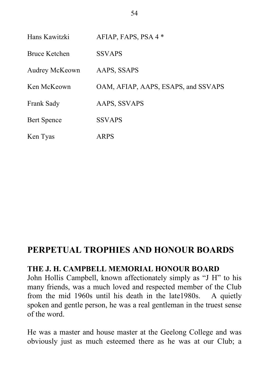| Hans Kawitzki      | AFIAP, FAPS, PSA 4 *                |
|--------------------|-------------------------------------|
| Bruce Ketchen      | <b>SSVAPS</b>                       |
| Audrey McKeown     | AAPS, SSAPS                         |
| Ken McKeown        | OAM, AFIAP, AAPS, ESAPS, and SSVAPS |
| Frank Sady         | AAPS, SSVAPS                        |
| <b>Bert Spence</b> | <b>SSVAPS</b>                       |
| Ken Tyas           | ARPS                                |

# **PERPETUAL TROPHIES AND HONOUR BOARDS**

#### **THE J. H. CAMPBELL MEMORIAL HONOUR BOARD**

John Hollis Campbell, known affectionately simply as "J H" to his many friends, was a much loved and respected member of the Club from the mid 1960s until his death in the late1980s. A quietly spoken and gentle person, he was a real gentleman in the truest sense of the word.

He was a master and house master at the Geelong College and was obviously just as much esteemed there as he was at our Club; a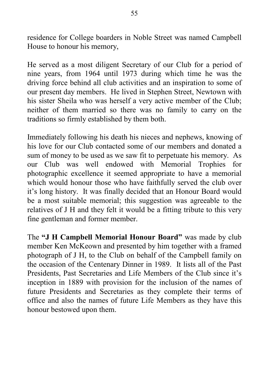residence for College boarders in Noble Street was named Campbell House to honour his memory,

He served as a most diligent Secretary of our Club for a period of nine years, from 1964 until 1973 during which time he was the driving force behind all club activities and an inspiration to some of our present day members. He lived in Stephen Street, Newtown with his sister Sheila who was herself a very active member of the Club; neither of them married so there was no family to carry on the traditions so firmly established by them both.

Immediately following his death his nieces and nephews, knowing of his love for our Club contacted some of our members and donated a sum of money to be used as we saw fit to perpetuate his memory. As our Club was well endowed with Memorial Trophies for photographic excellence it seemed appropriate to have a memorial which would honour those who have faithfully served the club over it's long history. It was finally decided that an Honour Board would be a most suitable memorial; this suggestion was agreeable to the relatives of J H and they felt it would be a fitting tribute to this very fine gentleman and former member.

The **"J H Campbell Memorial Honour Board"** was made by club member Ken McKeown and presented by him together with a framed photograph of J H, to the Club on behalf of the Campbell family on the occasion of the Centenary Dinner in 1989. It lists all of the Past Presidents, Past Secretaries and Life Members of the Club since it's inception in 1889 with provision for the inclusion of the names of future Presidents and Secretaries as they complete their terms of office and also the names of future Life Members as they have this honour bestowed upon them.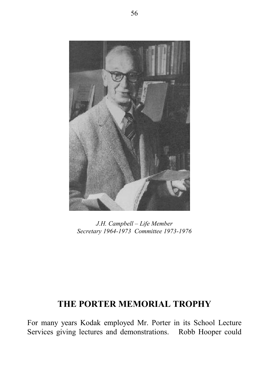

*J.H. Campbell – Life Member Secretary 1964-1973 Committee 1973-1976*

# **THE PORTER MEMORIAL TROPHY**

For many years Kodak employed Mr. Porter in its School Lecture Services giving lectures and demonstrations. Robb Hooper could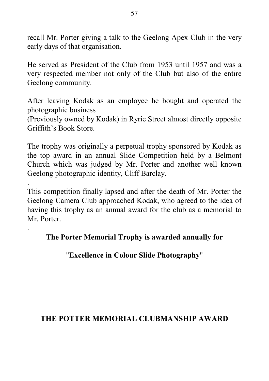recall Mr. Porter giving a talk to the Geelong Apex Club in the very early days of that organisation.

He served as President of the Club from 1953 until 1957 and was a very respected member not only of the Club but also of the entire Geelong community.

After leaving Kodak as an employee he bought and operated the photographic business

(Previously owned by Kodak) in Ryrie Street almost directly opposite Griffith's Book Store.

The trophy was originally a perpetual trophy sponsored by Kodak as the top award in an annual Slide Competition held by a Belmont Church which was judged by Mr. Porter and another well known Geelong photographic identity, Cliff Barclay.

. This competition finally lapsed and after the death of Mr. Porter the Geelong Camera Club approached Kodak, who agreed to the idea of having this trophy as an annual award for the club as a memorial to Mr. Porter.

#### **The Porter Memorial Trophy is awarded annually for**

.

#### "**Excellence in Colour Slide Photography**"

#### **THE POTTER MEMORIAL CLUBMANSHIP AWARD**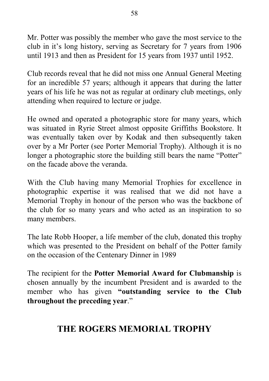Mr. Potter was possibly the member who gave the most service to the club in it's long history, serving as Secretary for 7 years from 1906 until 1913 and then as President for 15 years from 1937 until 1952.

Club records reveal that he did not miss one Annual General Meeting for an incredible 57 years; although it appears that during the latter years of his life he was not as regular at ordinary club meetings, only attending when required to lecture or judge.

He owned and operated a photographic store for many years, which was situated in Ryrie Street almost opposite Griffiths Bookstore. It was eventually taken over by Kodak and then subsequently taken over by a Mr Porter (see Porter Memorial Trophy). Although it is no longer a photographic store the building still bears the name "Potter" on the facade above the veranda.

With the Club having many Memorial Trophies for excellence in photographic expertise it was realised that we did not have a Memorial Trophy in honour of the person who was the backbone of the club for so many years and who acted as an inspiration to so many members.

The late Robb Hooper, a life member of the club, donated this trophy which was presented to the President on behalf of the Potter family on the occasion of the Centenary Dinner in 1989

The recipient for the **Potter Memorial Award for Clubmanship** is chosen annually by the incumbent President and is awarded to the member who has given **"outstanding service to the Club throughout the preceding year**."

# **THE ROGERS MEMORIAL TROPHY**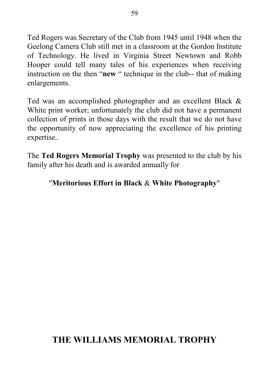Ted Rogers was Secretary of the Club from 1945 until 1948 when the Geelong Camera Club still met in a classroom at the Gordon Institute of Technology. He lived in Virginia Street Newtown and Robb Hooper could tell many tales of his experiences when receiving instruction on the then "**new** " technique in the club-- that of making enlargements.

Ted was an accomplished photographer and an excellent Black & White print worker; unfortunately the club did not have a permanent collection of prints in those days with the result that we do not have the opportunity of now appreciating the excellence of his printing expertise..

The **Ted Rogers Memorial Trophy** was presented to the club by his family after his death and is awarded annually for

#### "**Meritorious Effort in Black** & **White Photography**"

# **THE WILLIAMS MEMORIAL TROPHY**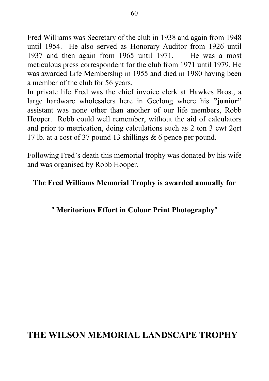Fred Williams was Secretary of the club in 1938 and again from 1948 until 1954. He also served as Honorary Auditor from 1926 until 1937 and then again from 1965 until 1971. He was a most meticulous press correspondent for the club from 1971 until 1979. He was awarded Life Membership in 1955 and died in 1980 having been a member of the club for 56 years.

In private life Fred was the chief invoice clerk at Hawkes Bros., a large hardware wholesalers here in Geelong where his **"junior"** assistant was none other than another of our life members, Robb Hooper. Robb could well remember, without the aid of calculators and prior to metrication, doing calculations such as 2 ton 3 cwt 2qrt 17 lb. at a cost of 37 pound 13 shillings & 6 pence per pound.

Following Fred's death this memorial trophy was donated by his wife and was organised by Robb Hooper.

#### **The Fred Williams Memorial Trophy is awarded annually for**

#### " **Meritorious Effort in Colour Print Photography**"

## **THE WILSON MEMORIAL LANDSCAPE TROPHY**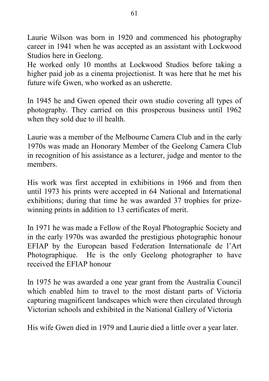Laurie Wilson was born in 1920 and commenced his photography career in 1941 when he was accepted as an assistant with Lockwood Studios here in Geelong.

He worked only 10 months at Lockwood Studios before taking a higher paid job as a cinema projectionist. It was here that he met his future wife Gwen, who worked as an usherette.

In 1945 he and Gwen opened their own studio covering all types of photography. They carried on this prosperous business until 1962 when they sold due to ill health.

Laurie was a member of the Melbourne Camera Club and in the early 1970s was made an Honorary Member of the Geelong Camera Club in recognition of his assistance as a lecturer, judge and mentor to the members.

His work was first accepted in exhibitions in 1966 and from then until 1973 his prints were accepted in 64 National and International exhibitions; during that time he was awarded 37 trophies for prizewinning prints in addition to 13 certificates of merit.

In 1971 he was made a Fellow of the Royal Photographic Society and in the early 1970s was awarded the prestigious photographic honour EFIAP by the European based Federation Internationale de l'Art Photographique. He is the only Geelong photographer to have received the EFIAP honour

In 1975 he was awarded a one year grant from the Australia Council which enabled him to travel to the most distant parts of Victoria capturing magnificent landscapes which were then circulated through Victorian schools and exhibited in the National Gallery of Victoria

His wife Gwen died in 1979 and Laurie died a little over a year later.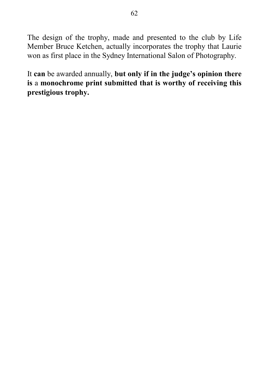The design of the trophy, made and presented to the club by Life Member Bruce Ketchen, actually incorporates the trophy that Laurie won as first place in the Sydney International Salon of Photography.

It **can** be awarded annually, **but only if in the judge's opinion there is** a **monochrome print submitted that is worthy of receiving this prestigious trophy.**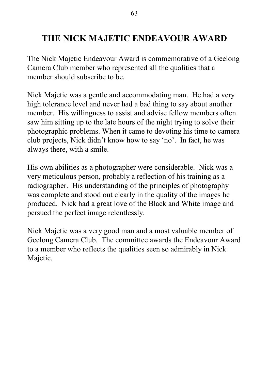# **THE NICK MAJETIC ENDEAVOUR AWARD**

The Nick Majetic Endeavour Award is commemorative of a Geelong Camera Club member who represented all the qualities that a member should subscribe to be.

Nick Majetic was a gentle and accommodating man. He had a very high tolerance level and never had a bad thing to say about another member. His willingness to assist and advise fellow members often saw him sitting up to the late hours of the night trying to solve their photographic problems. When it came to devoting his time to camera club projects, Nick didn't know how to say 'no'. In fact, he was always there, with a smile.

His own abilities as a photographer were considerable. Nick was a very meticulous person, probably a reflection of his training as a radiographer. His understanding of the principles of photography was complete and stood out clearly in the quality of the images he produced. Nick had a great love of the Black and White image and persued the perfect image relentlessly.

Nick Majetic was a very good man and a most valuable member of Geelong Camera Club. The committee awards the Endeavour Award to a member who reflects the qualities seen so admirably in Nick Majetic.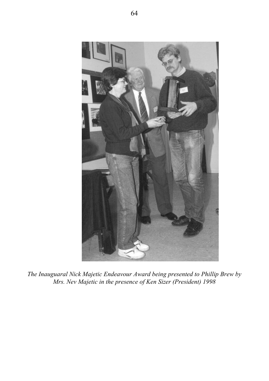

*The Inauguaral Nick Majetic Endeavour Award being presented to Phillip Brew by Mrs. Nev Majetic in the presence of Ken Sizer (President) 1998*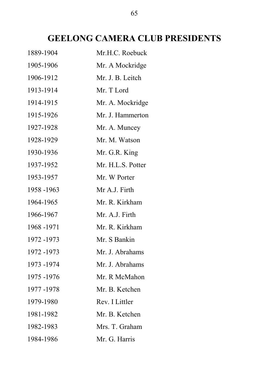# **GEELONG CAMERA CLUB PRESIDENTS**

| 1889-1904   | Mr.H.C. Roebuck   |
|-------------|-------------------|
| 1905-1906   | Mr. A Mockridge   |
| 1906-1912   | Mr. J. B. Leitch  |
| 1913-1914   | Mr. T Lord        |
| 1914-1915   | Mr. A. Mockridge  |
| 1915-1926   | Mr. J. Hammerton  |
| 1927-1928   | Mr. A. Muncey     |
| 1928-1929   | Mr. M. Watson     |
| 1930-1936   | Mr. G.R. King     |
| 1937-1952   | Mr. H.L.S. Potter |
| 1953-1957   | Mr. W Porter      |
| 1958 -1963  | Mr A.J. Firth     |
| 1964-1965   | Mr. R. Kirkham    |
| 1966-1967   | Mr. A.J. Firth    |
| 1968 -1971  | Mr. R. Kirkham    |
| 1972 -1973  | Mr. S Bankin      |
| 1972 -1973  | Mr. J. Abrahams   |
| 1973-1974   | Mr. J. Abrahams   |
| 1975 - 1976 | Mr. R McMahon     |
| 1977-1978   | Mr. B. Ketchen    |
| 1979-1980   | Rev. I Littler    |
| 1981-1982   | Mr. B. Ketchen    |
| 1982-1983   | Mrs. T. Graham    |
| 1984-1986   | Mr. G. Harris     |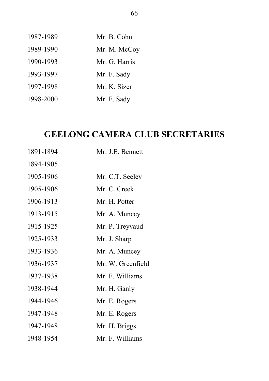| 1987-1989 | Mr. B. Cohn   |
|-----------|---------------|
| 1989-1990 | Mr. M. McCoy  |
| 1990-1993 | Mr. G. Harris |
| 1993-1997 | Mr. F. Sady   |
| 1997-1998 | Mr. K. Sizer  |
| 1998-2000 | Mr. F. Sady   |

# **GEELONG CAMERA CLUB SECRETARIES**

| 1891-1894 | Mr. J.E. Bennett  |
|-----------|-------------------|
| 1894-1905 |                   |
| 1905-1906 | Mr. C.T. Seeley   |
| 1905-1906 | Mr. C. Creek      |
| 1906-1913 | Mr. H. Potter     |
| 1913-1915 | Mr. A. Muncey     |
| 1915-1925 | Mr. P. Treyvaud   |
| 1925-1933 | Mr. J. Sharp      |
| 1933-1936 | Mr. A. Muncey     |
| 1936-1937 | Mr. W. Greenfield |
| 1937-1938 | Mr. F. Williams   |
| 1938-1944 | Mr. H. Ganly      |
| 1944-1946 | Mr. E. Rogers     |
| 1947-1948 | Mr. E. Rogers     |
| 1947-1948 | Mr. H. Briggs     |
| 1948-1954 | Mr. F. Williams   |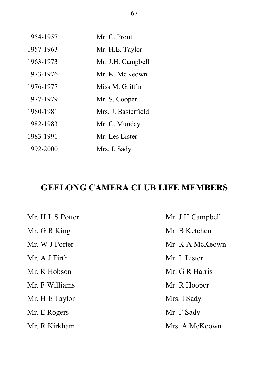| 1954-1957 | Mr. C. Prout        |
|-----------|---------------------|
| 1957-1963 | Mr. H.E. Taylor     |
| 1963-1973 | Mr. J.H. Campbell   |
| 1973-1976 | Mr. K. McKeown      |
| 1976-1977 | Miss M. Griffin     |
| 1977-1979 | Mr. S. Cooper       |
| 1980-1981 | Mrs. J. Basterfield |
| 1982-1983 | Mr. C. Munday       |
| 1983-1991 | Mr. Les Lister      |
| 1992-2000 | Mrs. I. Sady        |

# **GEELONG CAMERA CLUB LIFE MEMBERS**

| Mr. H L S Potter | Mr. J H Campbell |
|------------------|------------------|
| Mr. G R King     | Mr. B Ketchen    |
| Mr. W J Porter   | Mr. K A McKeown  |
| Mr. A J Firth    | Mr. L Lister     |
| Mr. R Hobson     | Mr. G R Harris   |
| Mr. F Williams   | Mr. R Hooper     |
| Mr. H E Taylor   | Mrs. I Sady      |
| Mr. E Rogers     | Mr. F Sady       |
| Mr. R Kirkham    | Mrs. A McKeown   |